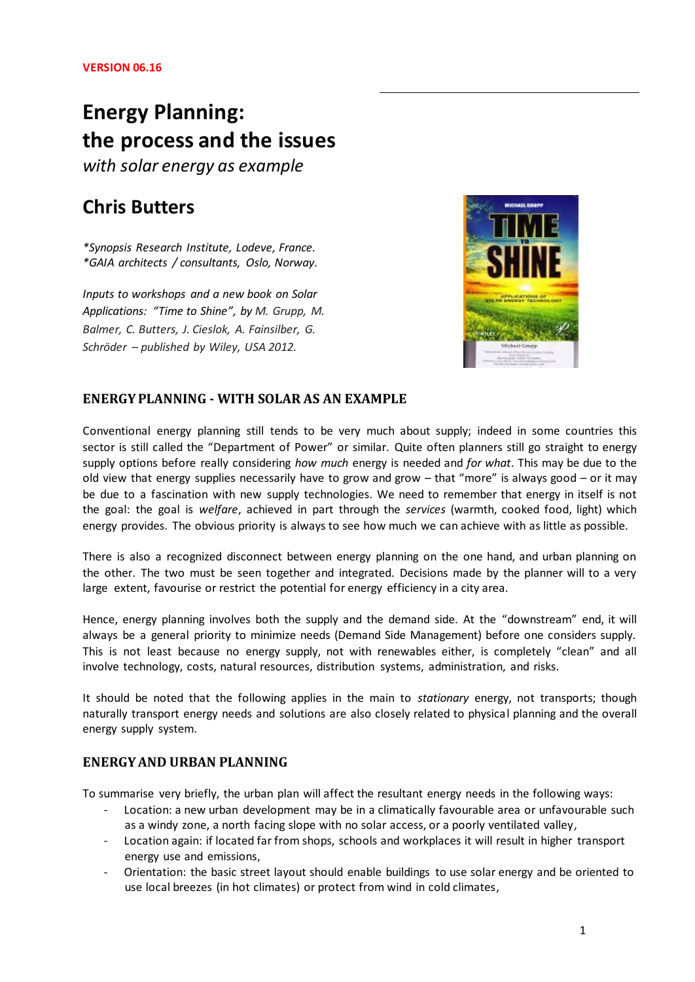# **Energy Planning: the process and the issues**

*with solar energy as example*

# **Chris Butters**

*\*Synopsis Research Institute, Lodeve, France. \*GAIA architects / consultants, Oslo, Norway.*

*Inputs to workshops and a new book on Solar Applications: "Time to Shine", by M. Grupp, M. Balmer, C. Butters, J. Cieslok, A. Fainsilber, G. Schröder – published by Wiley, USA 2012.*



# **ENERGY PLANNING - WITH SOLAR AS AN EXAMPLE**

Conventional energy planning still tends to be very much about supply; indeed in some countries this sector is still called the "Department of Power" or similar. Quite often planners still go straight to energy supply options before really considering *how much* energy is needed and *for what*. This may be due to the old view that energy supplies necessarily have to grow and grow – that "more" is always good – or it may be due to a fascination with new supply technologies. We need to remember that energy in itself is not the goal: the goal is *welfare*, achieved in part through the *services* (warmth, cooked food, light) which energy provides. The obvious priority is always to see how much we can achieve with as little as possible.

There is also a recognized disconnect between energy planning on the one hand, and urban planning on the other. The two must be seen together and integrated. Decisions made by the planner will to a very large extent, favourise or restrict the potential for energy efficiency in a city area.

Hence, energy planning involves both the supply and the demand side. At the "downstream" end, it will always be a general priority to minimize needs (Demand Side Management) before one considers supply. This is not least because no energy supply, not with renewables either, is completely "clean" and all involve technology, costs, natural resources, distribution systems, administration, and risks.

It should be noted that the following applies in the main to *stationary* energy, not transports; though naturally transport energy needs and solutions are also closely related to physical planning and the overall energy supply system.

# **ENERGY AND URBAN PLANNING**

To summarise very briefly, the urban plan will affect the resultant energy needs in the following ways:

- Location: a new urban development may be in a climatically favourable area or unfavourable such as a windy zone, a north facing slope with no solar access, or a poorly ventilated valley,
- Location again: if located far from shops, schools and workplaces it will result in higher transport energy use and emissions,
- Orientation: the basic street layout should enable buildings to use solar energy and be oriented to use local breezes (in hot climates) or protect from wind in cold climates,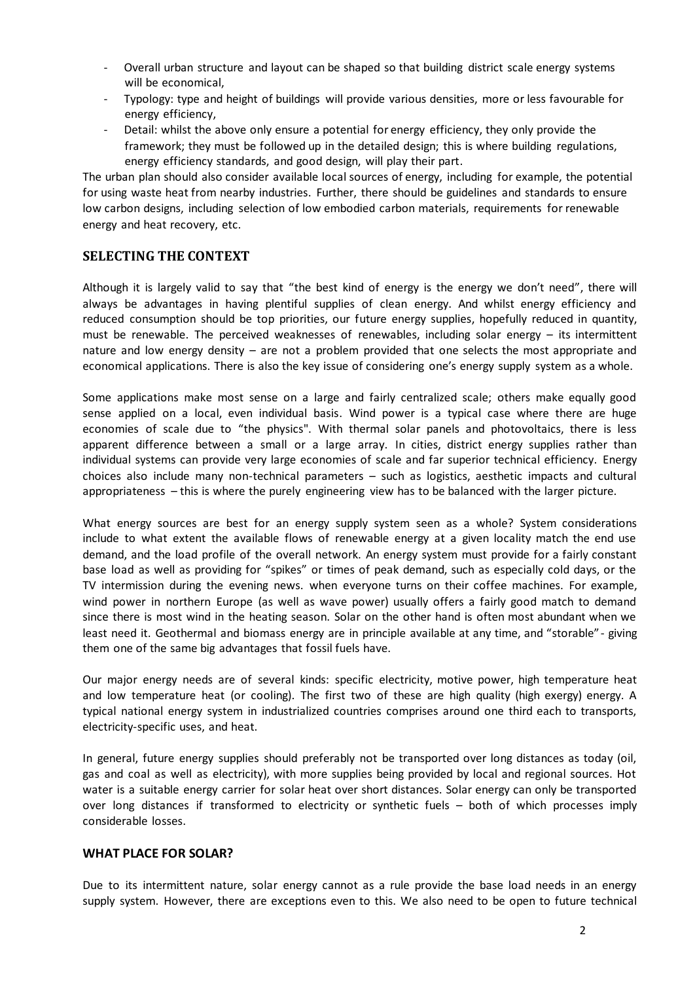- Overall urban structure and layout can be shaped so that building district scale energy systems will be economical,
- Typology: type and height of buildings will provide various densities, more or less favourable for energy efficiency,
- Detail: whilst the above only ensure a potential for energy efficiency, they only provide the framework; they must be followed up in the detailed design; this is where building regulations, energy efficiency standards, and good design, will play their part.

The urban plan should also consider available local sources of energy, including for example, the potential for using waste heat from nearby industries. Further, there should be guidelines and standards to ensure low carbon designs, including selection of low embodied carbon materials, requirements for renewable energy and heat recovery, etc.

# **SELECTING THE CONTEXT**

Although it is largely valid to say that "the best kind of energy is the energy we don't need", there will always be advantages in having plentiful supplies of clean energy. And whilst energy efficiency and reduced consumption should be top priorities, our future energy supplies, hopefully reduced in quantity, must be renewable. The perceived weaknesses of renewables, including solar energy  $-$  its intermittent nature and low energy density – are not a problem provided that one selects the most appropriate and economical applications. There is also the key issue of considering one's energy supply system as a whole.

Some applications make most sense on a large and fairly centralized scale; others make equally good sense applied on a local, even individual basis. Wind power is a typical case where there are huge economies of scale due to "the physics". With thermal solar panels and photovoltaics, there is less apparent difference between a small or a large array. In cities, district energy supplies rather than individual systems can provide very large economies of scale and far superior technical efficiency. Energy choices also include many non-technical parameters – such as logistics, aesthetic impacts and cultural appropriateness – this is where the purely engineering view has to be balanced with the larger picture.

What energy sources are best for an energy supply system seen as a whole? System considerations include to what extent the available flows of renewable energy at a given locality match the end use demand, and the load profile of the overall network. An energy system must provide for a fairly constant base load as well as providing for "spikes" or times of peak demand, such as especially cold days, or the TV intermission during the evening news. when everyone turns on their coffee machines. For example, wind power in northern Europe (as well as wave power) usually offers a fairly good match to demand since there is most wind in the heating season. Solar on the other hand is often most abundant when we least need it. Geothermal and biomass energy are in principle available at any time, and "storable" - giving them one of the same big advantages that fossil fuels have.

Our major energy needs are of several kinds: specific electricity, motive power, high temperature heat and low temperature heat (or cooling). The first two of these are high quality (high exergy) energy. A typical national energy system in industrialized countries comprises around one third each to transports, electricity-specific uses, and heat.

In general, future energy supplies should preferably not be transported over long distances as today (oil, gas and coal as well as electricity), with more supplies being provided by local and regional sources. Hot water is a suitable energy carrier for solar heat over short distances. Solar energy can only be transported over long distances if transformed to electricity or synthetic fuels – both of which processes imply considerable losses.

#### **WHAT PLACE FOR SOLAR?**

Due to its intermittent nature, solar energy cannot as a rule provide the base load needs in an energy supply system. However, there are exceptions even to this. We also need to be open to future technical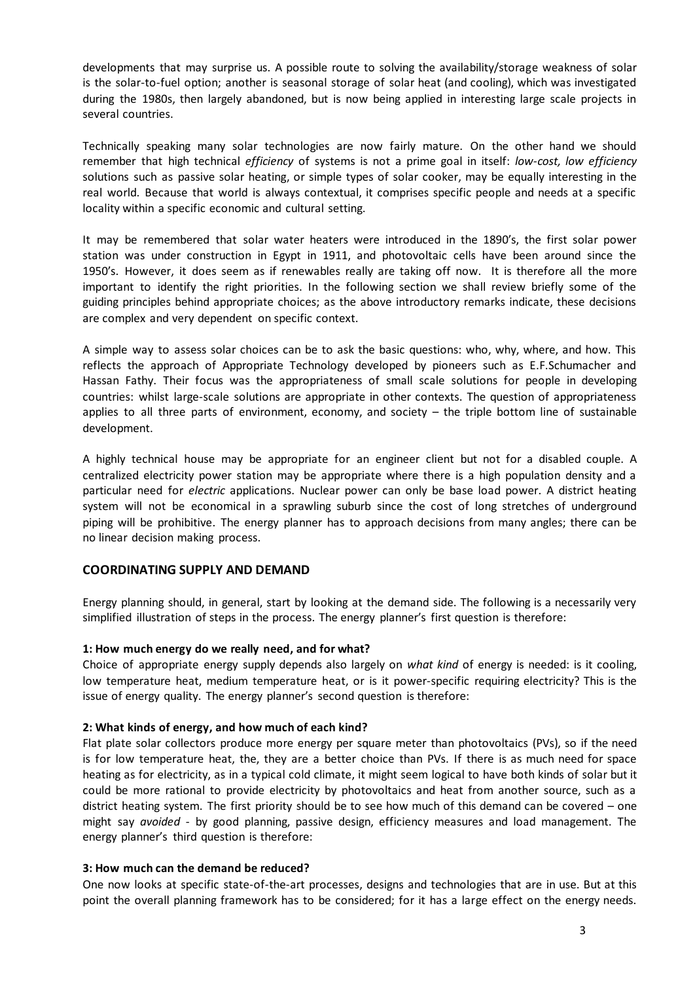developments that may surprise us. A possible route to solving the availability/storage weakness of solar is the solar-to-fuel option; another is seasonal storage of solar heat (and cooling), which was investigated during the 1980s, then largely abandoned, but is now being applied in interesting large scale projects in several countries.

Technically speaking many solar technologies are now fairly mature. On the other hand we should remember that high technical *efficiency* of systems is not a prime goal in itself: *low-cost, low efficiency* solutions such as passive solar heating, or simple types of solar cooker, may be equally interesting in the real world. Because that world is always contextual, it comprises specific people and needs at a specific locality within a specific economic and cultural setting.

It may be remembered that solar water heaters were introduced in the 1890's, the first solar power station was under construction in Egypt in 1911, and photovoltaic cells have been around since the 1950's. However, it does seem as if renewables really are taking off now. It is therefore all the more important to identify the right priorities. In the following section we shall review briefly some of the guiding principles behind appropriate choices; as the above introductory remarks indicate, these decisions are complex and very dependent on specific context.

A simple way to assess solar choices can be to ask the basic questions: who, why, where, and how. This reflects the approach of Appropriate Technology developed by pioneers such as E.F.Schumacher and Hassan Fathy. Their focus was the appropriateness of small scale solutions for people in developing countries: whilst large-scale solutions are appropriate in other contexts. The question of appropriateness applies to all three parts of environment, economy, and society – the triple bottom line of sustainable development.

A highly technical house may be appropriate for an engineer client but not for a disabled couple. A centralized electricity power station may be appropriate where there is a high population density and a particular need for *electric* applications. Nuclear power can only be base load power. A district heating system will not be economical in a sprawling suburb since the cost of long stretches of underground piping will be prohibitive. The energy planner has to approach decisions from many angles; there can be no linear decision making process.

#### **COORDINATING SUPPLY AND DEMAND**

Energy planning should, in general, start by looking at the demand side. The following is a necessarily very simplified illustration of steps in the process. The energy planner's first question is therefore:

#### **1: How much energy do we really need, and for what?**

Choice of appropriate energy supply depends also largely on *what kind* of energy is needed: is it cooling, low temperature heat, medium temperature heat, or is it power-specific requiring electricity? This is the issue of energy quality. The energy planner's second question is therefore:

#### **2: What kinds of energy, and how much of each kind?**

Flat plate solar collectors produce more energy per square meter than photovoltaics (PVs), so if the need is for low temperature heat, the, they are a better choice than PVs. If there is as much need for space heating as for electricity, as in a typical cold climate, it might seem logical to have both kinds of solar but it could be more rational to provide electricity by photovoltaics and heat from another source, such as a district heating system. The first priority should be to see how much of this demand can be covered – one might say *avoided* - by good planning, passive design, efficiency measures and load management. The energy planner's third question is therefore:

#### **3: How much can the demand be reduced?**

One now looks at specific state-of-the-art processes, designs and technologies that are in use. But at this point the overall planning framework has to be considered; for it has a large effect on the energy needs.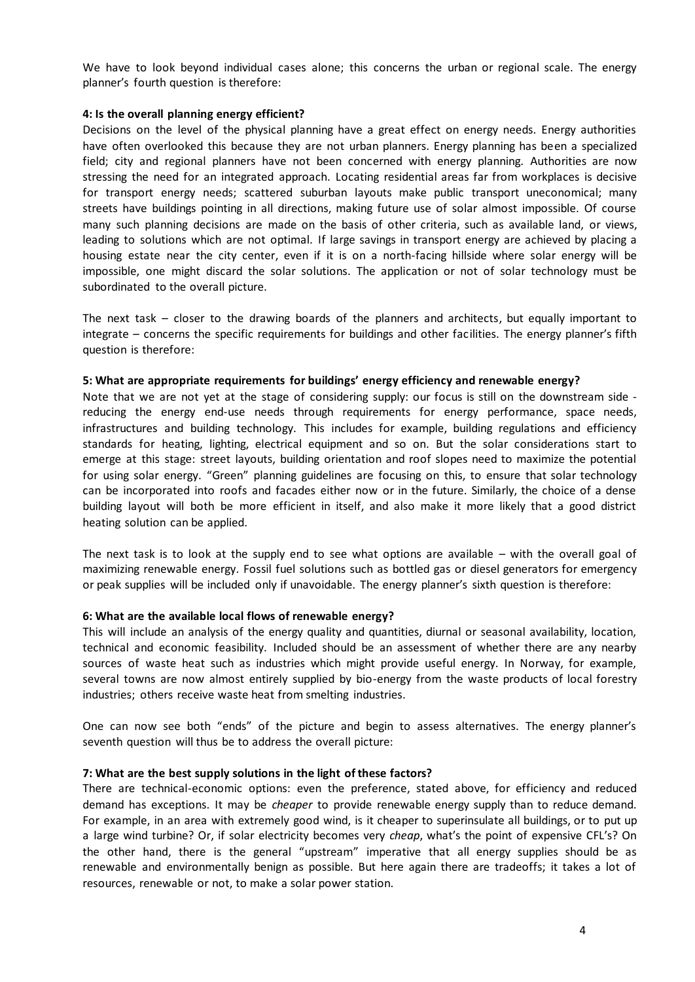We have to look beyond individual cases alone; this concerns the urban or regional scale. The energy planner's fourth question is therefore:

#### **4: Is the overall planning energy efficient?**

Decisions on the level of the physical planning have a great effect on energy needs. Energy authorities have often overlooked this because they are not urban planners. Energy planning has been a specialized field; city and regional planners have not been concerned with energy planning. Authorities are now stressing the need for an integrated approach. Locating residential areas far from workplaces is decisive for transport energy needs; scattered suburban layouts make public transport uneconomical; many streets have buildings pointing in all directions, making future use of solar almost impossible. Of course many such planning decisions are made on the basis of other criteria, such as available land, or views, leading to solutions which are not optimal. If large savings in transport energy are achieved by placing a housing estate near the city center, even if it is on a north-facing hillside where solar energy will be impossible, one might discard the solar solutions. The application or not of solar technology must be subordinated to the overall picture.

The next task – closer to the drawing boards of the planners and architects, but equally important to integrate – concerns the specific requirements for buildings and other facilities. The energy planner's fifth question is therefore:

#### **5: What are appropriate requirements for buildings' energy efficiency and renewable energy?**

Note that we are not yet at the stage of considering supply: our focus is still on the downstream side reducing the energy end-use needs through requirements for energy performance, space needs, infrastructures and building technology. This includes for example, building regulations and efficiency standards for heating, lighting, electrical equipment and so on. But the solar considerations start to emerge at this stage: street layouts, building orientation and roof slopes need to maximize the potential for using solar energy. "Green" planning guidelines are focusing on this, to ensure that solar technology can be incorporated into roofs and facades either now or in the future. Similarly, the choice of a dense building layout will both be more efficient in itself, and also make it more likely that a good district heating solution can be applied.

The next task is to look at the supply end to see what options are available – with the overall goal of maximizing renewable energy. Fossil fuel solutions such as bottled gas or diesel generators for emergency or peak supplies will be included only if unavoidable. The energy planner's sixth question is therefore:

#### **6: What are the available local flows of renewable energy?**

This will include an analysis of the energy quality and quantities, diurnal or seasonal availability, location, technical and economic feasibility. Included should be an assessment of whether there are any nearby sources of waste heat such as industries which might provide useful energy. In Norway, for example, several towns are now almost entirely supplied by bio-energy from the waste products of local forestry industries; others receive waste heat from smelting industries.

One can now see both "ends" of the picture and begin to assess alternatives. The energy planner's seventh question will thus be to address the overall picture:

#### **7: What are the best supply solutions in the light of these factors?**

There are technical-economic options: even the preference, stated above, for efficiency and reduced demand has exceptions. It may be *cheaper* to provide renewable energy supply than to reduce demand. For example, in an area with extremely good wind, is it cheaper to superinsulate all buildings, or to put up a large wind turbine? Or, if solar electricity becomes very *cheap*, what's the point of expensive CFL's? On the other hand, there is the general "upstream" imperative that all energy supplies should be as renewable and environmentally benign as possible. But here again there are tradeoffs; it takes a lot of resources, renewable or not, to make a solar power station.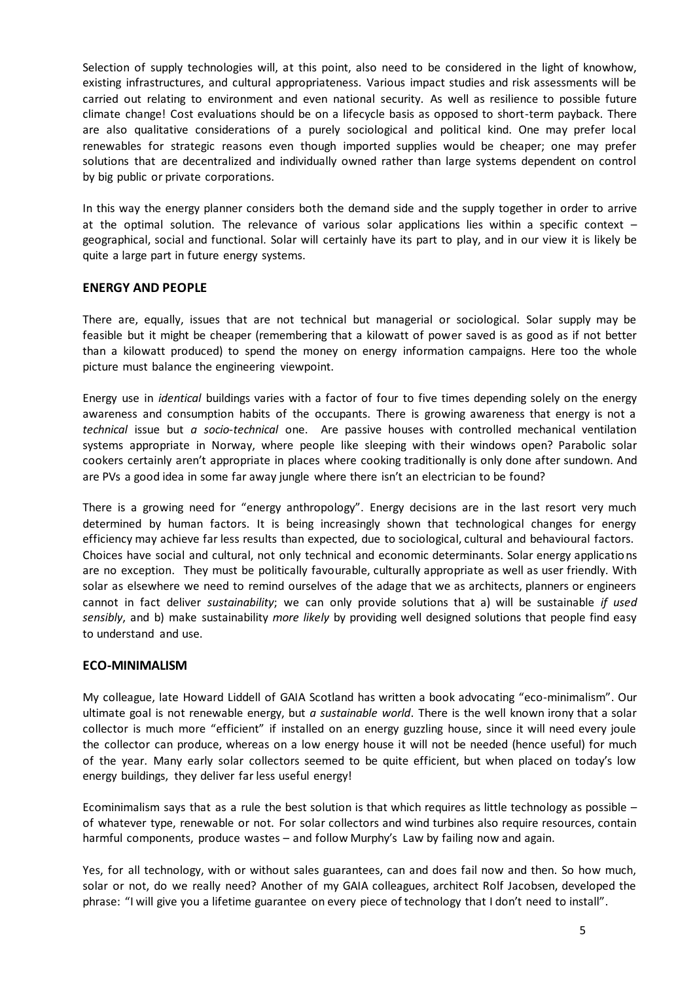Selection of supply technologies will, at this point, also need to be considered in the light of knowhow, existing infrastructures, and cultural appropriateness. Various impact studies and risk assessments will be carried out relating to environment and even national security. As well as resilience to possible future climate change! Cost evaluations should be on a lifecycle basis as opposed to short-term payback. There are also qualitative considerations of a purely sociological and political kind. One may prefer local renewables for strategic reasons even though imported supplies would be cheaper; one may prefer solutions that are decentralized and individually owned rather than large systems dependent on control by big public or private corporations.

In this way the energy planner considers both the demand side and the supply together in order to arrive at the optimal solution. The relevance of various solar applications lies within a specific context – geographical, social and functional. Solar will certainly have its part to play, and in our view it is likely be quite a large part in future energy systems.

#### **ENERGY AND PEOPLE**

There are, equally, issues that are not technical but managerial or sociological. Solar supply may be feasible but it might be cheaper (remembering that a kilowatt of power saved is as good as if not better than a kilowatt produced) to spend the money on energy information campaigns. Here too the whole picture must balance the engineering viewpoint.

Energy use in *identical* buildings varies with a factor of four to five times depending solely on the energy awareness and consumption habits of the occupants. There is growing awareness that energy is not a *technical* issue but *a socio-technical* one. Are passive houses with controlled mechanical ventilation systems appropriate in Norway, where people like sleeping with their windows open? Parabolic solar cookers certainly aren't appropriate in places where cooking traditionally is only done after sundown. And are PVs a good idea in some far away jungle where there isn't an electrician to be found?

There is a growing need for "energy anthropology". Energy decisions are in the last resort very much determined by human factors. It is being increasingly shown that technological changes for energy efficiency may achieve far less results than expected, due to sociological, cultural and behavioural factors. Choices have social and cultural, not only technical and economic determinants. Solar energy applications are no exception. They must be politically favourable, culturally appropriate as well as user friendly. With solar as elsewhere we need to remind ourselves of the adage that we as architects, planners or engineers cannot in fact deliver *sustainability*; we can only provide solutions that a) will be sustainable *if used sensibly*, and b) make sustainability *more likely* by providing well designed solutions that people find easy to understand and use.

#### **ECO-MINIMALISM**

My colleague, late Howard Liddell of GAIA Scotland has written a book advocating "eco-minimalism". Our ultimate goal is not renewable energy, but *a sustainable world*. There is the well known irony that a solar collector is much more "efficient" if installed on an energy guzzling house, since it will need every joule the collector can produce, whereas on a low energy house it will not be needed (hence useful) for much of the year. Many early solar collectors seemed to be quite efficient, but when placed on today's low energy buildings, they deliver far less useful energy!

Ecominimalism says that as a rule the best solution is that which requires as little technology as possible – of whatever type, renewable or not. For solar collectors and wind turbines also require resources, contain harmful components, produce wastes – and follow Murphy's Law by failing now and again.

Yes, for all technology, with or without sales guarantees, can and does fail now and then. So how much, solar or not, do we really need? Another of my GAIA colleagues, architect Rolf Jacobsen, developed the phrase: "I will give you a lifetime guarantee on every piece of technology that I don't need to install".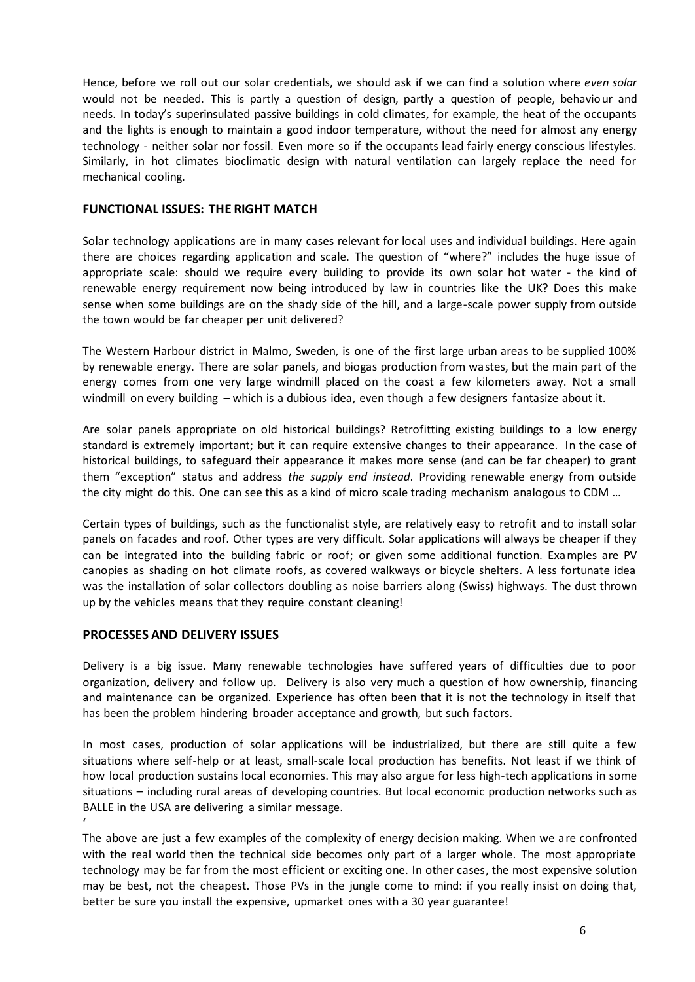Hence, before we roll out our solar credentials, we should ask if we can find a solution where *even solar* would not be needed. This is partly a question of design, partly a question of people, behaviour and needs. In today's superinsulated passive buildings in cold climates, for example, the heat of the occupants and the lights is enough to maintain a good indoor temperature, without the need for almost any energy technology - neither solar nor fossil. Even more so if the occupants lead fairly energy conscious lifestyles. Similarly, in hot climates bioclimatic design with natural ventilation can largely replace the need for mechanical cooling.

#### **FUNCTIONAL ISSUES: THE RIGHT MATCH**

Solar technology applications are in many cases relevant for local uses and individual buildings. Here again there are choices regarding application and scale. The question of "where?" includes the huge issue of appropriate scale: should we require every building to provide its own solar hot water - the kind of renewable energy requirement now being introduced by law in countries like the UK? Does this make sense when some buildings are on the shady side of the hill, and a large-scale power supply from outside the town would be far cheaper per unit delivered?

The Western Harbour district in Malmo, Sweden, is one of the first large urban areas to be supplied 100% by renewable energy. There are solar panels, and biogas production from wastes, but the main part of the energy comes from one very large windmill placed on the coast a few kilometers away. Not a small windmill on every building – which is a dubious idea, even though a few designers fantasize about it.

Are solar panels appropriate on old historical buildings? Retrofitting existing buildings to a low energy standard is extremely important; but it can require extensive changes to their appearance. In the case of historical buildings, to safeguard their appearance it makes more sense (and can be far cheaper) to grant them "exception" status and address *the supply end instead*. Providing renewable energy from outside the city might do this. One can see this as a kind of micro scale trading mechanism analogous to CDM …

Certain types of buildings, such as the functionalist style, are relatively easy to retrofit and to install solar panels on facades and roof. Other types are very difficult. Solar applications will always be cheaper if they can be integrated into the building fabric or roof; or given some additional function. Examples are PV canopies as shading on hot climate roofs, as covered walkways or bicycle shelters. A less fortunate idea was the installation of solar collectors doubling as noise barriers along (Swiss) highways. The dust thrown up by the vehicles means that they require constant cleaning!

# **PROCESSES AND DELIVERY ISSUES**

Delivery is a big issue. Many renewable technologies have suffered years of difficulties due to poor organization, delivery and follow up. Delivery is also very much a question of how ownership, financing and maintenance can be organized. Experience has often been that it is not the technology in itself that has been the problem hindering broader acceptance and growth, but such factors.

In most cases, production of solar applications will be industrialized, but there are still quite a few situations where self-help or at least, small-scale local production has benefits. Not least if we think of how local production sustains local economies. This may also argue for less high-tech applications in some situations – including rural areas of developing countries. But local economic production networks such as BALLE in the USA are delivering a similar message. '

The above are just a few examples of the complexity of energy decision making. When we are confronted with the real world then the technical side becomes only part of a larger whole. The most appropriate technology may be far from the most efficient or exciting one. In other cases, the most expensive solution may be best, not the cheapest. Those PVs in the jungle come to mind: if you really insist on doing that, better be sure you install the expensive, upmarket ones with a 30 year guarantee!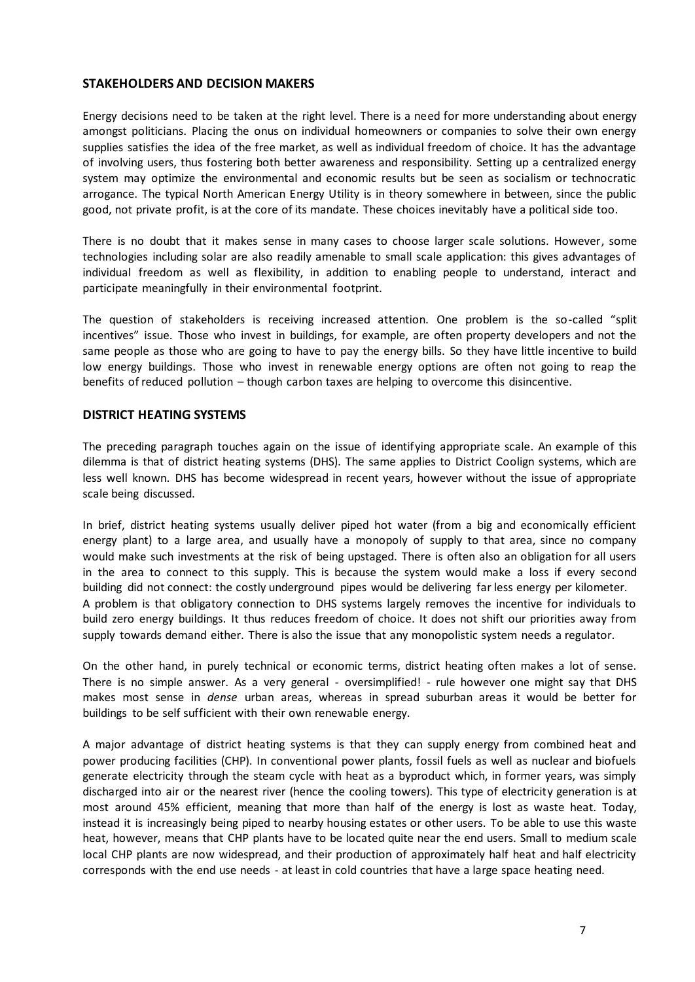#### **STAKEHOLDERS AND DECISION MAKERS**

Energy decisions need to be taken at the right level. There is a need for more understanding about energy amongst politicians. Placing the onus on individual homeowners or companies to solve their own energy supplies satisfies the idea of the free market, as well as individual freedom of choice. It has the advantage of involving users, thus fostering both better awareness and responsibility. Setting up a centralized energy system may optimize the environmental and economic results but be seen as socialism or technocratic arrogance. The typical North American Energy Utility is in theory somewhere in between, since the public good, not private profit, is at the core of its mandate. These choices inevitably have a political side too.

There is no doubt that it makes sense in many cases to choose larger scale solutions. However, some technologies including solar are also readily amenable to small scale application: this gives advantages of individual freedom as well as flexibility, in addition to enabling people to understand, interact and participate meaningfully in their environmental footprint.

The question of stakeholders is receiving increased attention. One problem is the so-called "split incentives" issue. Those who invest in buildings, for example, are often property developers and not the same people as those who are going to have to pay the energy bills. So they have little incentive to build low energy buildings. Those who invest in renewable energy options are often not going to reap the benefits of reduced pollution – though carbon taxes are helping to overcome this disincentive.

#### **DISTRICT HEATING SYSTEMS**

The preceding paragraph touches again on the issue of identifying appropriate scale. An example of this dilemma is that of district heating systems (DHS). The same applies to District Coolign systems, which are less well known. DHS has become widespread in recent years, however without the issue of appropriate scale being discussed.

In brief, district heating systems usually deliver piped hot water (from a big and economically efficient energy plant) to a large area, and usually have a monopoly of supply to that area, since no company would make such investments at the risk of being upstaged. There is often also an obligation for all users in the area to connect to this supply. This is because the system would make a loss if every second building did not connect: the costly underground pipes would be delivering far less energy per kilometer. A problem is that obligatory connection to DHS systems largely removes the incentive for individuals to build zero energy buildings. It thus reduces freedom of choice. It does not shift our priorities away from supply towards demand either. There is also the issue that any monopolistic system needs a regulator.

On the other hand, in purely technical or economic terms, district heating often makes a lot of sense. There is no simple answer. As a very general - oversimplified! - rule however one might say that DHS makes most sense in *dense* urban areas, whereas in spread suburban areas it would be better for buildings to be self sufficient with their own renewable energy.

A major advantage of district heating systems is that they can supply energy from combined heat and power producing facilities (CHP). In conventional power plants, fossil fuels as well as nuclear and biofuels generate electricity through the steam cycle with heat as a byproduct which, in former years, was simply discharged into air or the nearest river (hence the cooling towers). This type of electricity generation is at most around 45% efficient, meaning that more than half of the energy is lost as waste heat. Today, instead it is increasingly being piped to nearby housing estates or other users. To be able to use this waste heat, however, means that CHP plants have to be located quite near the end users. Small to medium scale local CHP plants are now widespread, and their production of approximately half heat and half electricity corresponds with the end use needs - at least in cold countries that have a large space heating need.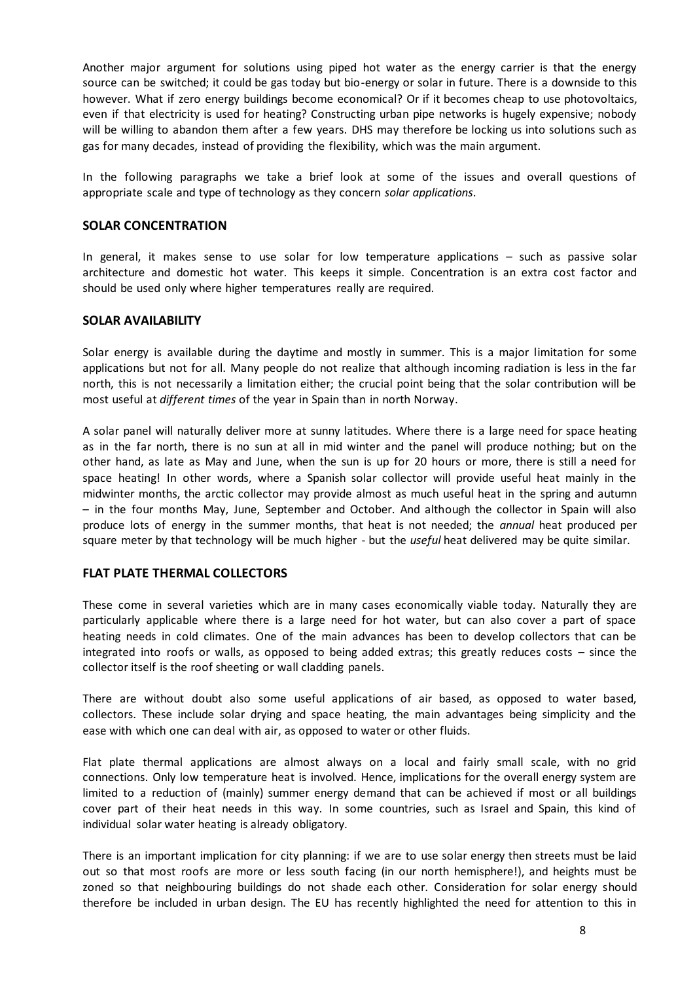Another major argument for solutions using piped hot water as the energy carrier is that the energy source can be switched; it could be gas today but bio-energy or solar in future. There is a downside to this however. What if zero energy buildings become economical? Or if it becomes cheap to use photovoltaics, even if that electricity is used for heating? Constructing urban pipe networks is hugely expensive; nobody will be willing to abandon them after a few years. DHS may therefore be locking us into solutions such as gas for many decades, instead of providing the flexibility, which was the main argument.

In the following paragraphs we take a brief look at some of the issues and overall questions of appropriate scale and type of technology as they concern *solar applications*.

#### **SOLAR CONCENTRATION**

In general, it makes sense to use solar for low temperature applications – such as passive solar architecture and domestic hot water. This keeps it simple. Concentration is an extra cost factor and should be used only where higher temperatures really are required.

#### **SOLAR AVAILABILITY**

Solar energy is available during the daytime and mostly in summer. This is a major limitation for some applications but not for all. Many people do not realize that although incoming radiation is less in the far north, this is not necessarily a limitation either; the crucial point being that the solar contribution will be most useful at *different times* of the year in Spain than in north Norway.

A solar panel will naturally deliver more at sunny latitudes. Where there is a large need for space heating as in the far north, there is no sun at all in mid winter and the panel will produce nothing; but on the other hand, as late as May and June, when the sun is up for 20 hours or more, there is still a need for space heating! In other words, where a Spanish solar collector will provide useful heat mainly in the midwinter months, the arctic collector may provide almost as much useful heat in the spring and autumn – in the four months May, June, September and October. And although the collector in Spain will also produce lots of energy in the summer months, that heat is not needed; the *annual* heat produced per square meter by that technology will be much higher - but the *useful* heat delivered may be quite similar.

# **FLAT PLATE THERMAL COLLECTORS**

These come in several varieties which are in many cases economically viable today. Naturally they are particularly applicable where there is a large need for hot water, but can also cover a part of space heating needs in cold climates. One of the main advances has been to develop collectors that can be integrated into roofs or walls, as opposed to being added extras; this greatly reduces costs – since the collector itself is the roof sheeting or wall cladding panels.

There are without doubt also some useful applications of air based, as opposed to water based, collectors. These include solar drying and space heating, the main advantages being simplicity and the ease with which one can deal with air, as opposed to water or other fluids.

Flat plate thermal applications are almost always on a local and fairly small scale, with no grid connections. Only low temperature heat is involved. Hence, implications for the overall energy system are limited to a reduction of (mainly) summer energy demand that can be achieved if most or all buildings cover part of their heat needs in this way. In some countries, such as Israel and Spain, this kind of individual solar water heating is already obligatory.

There is an important implication for city planning: if we are to use solar energy then streets must be laid out so that most roofs are more or less south facing (in our north hemisphere!), and heights must be zoned so that neighbouring buildings do not shade each other. Consideration for solar energy should therefore be included in urban design. The EU has recently highlighted the need for attention to this in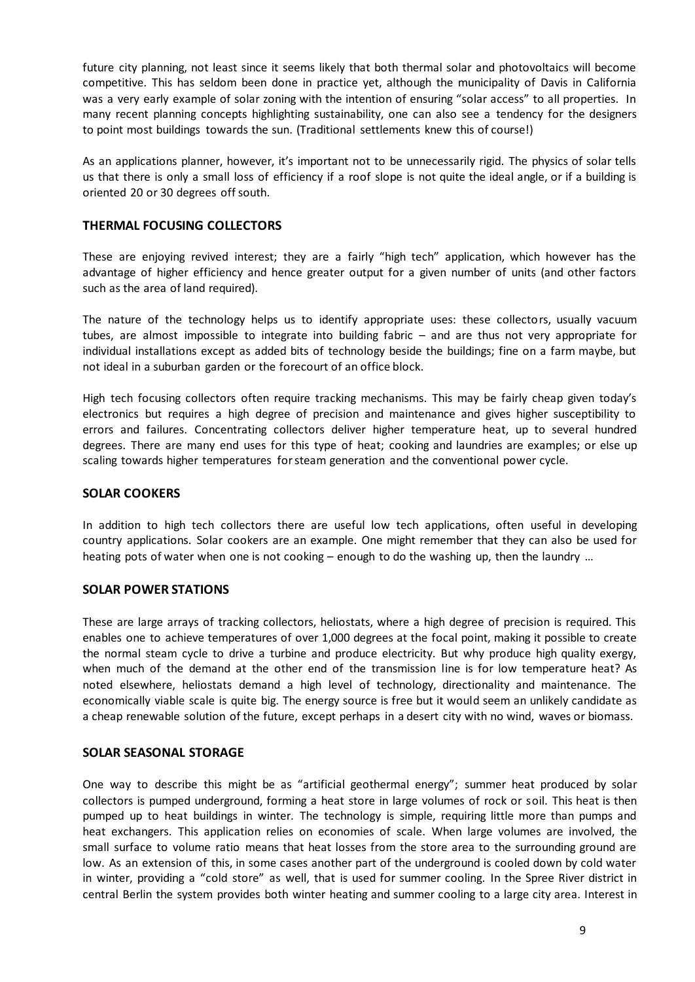future city planning, not least since it seems likely that both thermal solar and photovoltaics will become competitive. This has seldom been done in practice yet, although the municipality of Davis in California was a very early example of solar zoning with the intention of ensuring "solar access" to all properties. In many recent planning concepts highlighting sustainability, one can also see a tendency for the designers to point most buildings towards the sun. (Traditional settlements knew this of course!)

As an applications planner, however, it's important not to be unnecessarily rigid. The physics of solar tells us that there is only a small loss of efficiency if a roof slope is not quite the ideal angle, or if a building is oriented 20 or 30 degrees off south.

# **THERMAL FOCUSING COLLECTORS**

These are enjoying revived interest; they are a fairly "high tech" application, which however has the advantage of higher efficiency and hence greater output for a given number of units (and other factors such as the area of land required).

The nature of the technology helps us to identify appropriate uses: these collectors, usually vacuum tubes, are almost impossible to integrate into building fabric – and are thus not very appropriate for individual installations except as added bits of technology beside the buildings; fine on a farm maybe, but not ideal in a suburban garden or the forecourt of an office block.

High tech focusing collectors often require tracking mechanisms. This may be fairly cheap given today's electronics but requires a high degree of precision and maintenance and gives higher susceptibility to errors and failures. Concentrating collectors deliver higher temperature heat, up to several hundred degrees. There are many end uses for this type of heat; cooking and laundries are examples; or else up scaling towards higher temperatures for steam generation and the conventional power cycle.

#### **SOLAR COOKERS**

In addition to high tech collectors there are useful low tech applications, often useful in developing country applications. Solar cookers are an example. One might remember that they can also be used for heating pots of water when one is not cooking – enough to do the washing up, then the laundry …

#### **SOLAR POWER STATIONS**

These are large arrays of tracking collectors, heliostats, where a high degree of precision is required. This enables one to achieve temperatures of over 1,000 degrees at the focal point, making it possible to create the normal steam cycle to drive a turbine and produce electricity. But why produce high quality exergy, when much of the demand at the other end of the transmission line is for low temperature heat? As noted elsewhere, heliostats demand a high level of technology, directionality and maintenance. The economically viable scale is quite big. The energy source is free but it would seem an unlikely candidate as a cheap renewable solution of the future, except perhaps in a desert city with no wind, waves or biomass.

#### **SOLAR SEASONAL STORAGE**

One way to describe this might be as "artificial geothermal energy"; summer heat produced by solar collectors is pumped underground, forming a heat store in large volumes of rock or soil. This heat is then pumped up to heat buildings in winter. The technology is simple, requiring little more than pumps and heat exchangers. This application relies on economies of scale. When large volumes are involved, the small surface to volume ratio means that heat losses from the store area to the surrounding ground are low. As an extension of this, in some cases another part of the underground is cooled down by cold water in winter, providing a "cold store" as well, that is used for summer cooling. In the Spree River district in central Berlin the system provides both winter heating and summer cooling to a large city area. Interest in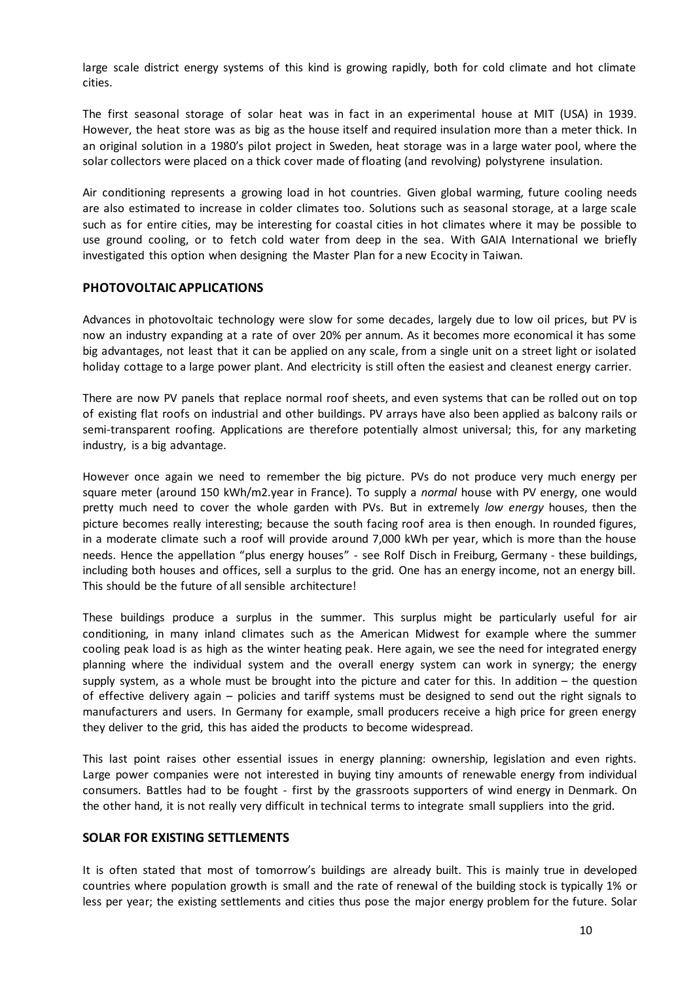large scale district energy systems of this kind is growing rapidly, both for cold climate and hot climate cities.

The first seasonal storage of solar heat was in fact in an experimental house at MIT (USA) in 1939. However, the heat store was as big as the house itself and required insulation more than a meter thick. In an original solution in a 1980's pilot project in Sweden, heat storage was in a large water pool, where the solar collectors were placed on a thick cover made of floating (and revolving) polystyrene insulation.

Air conditioning represents a growing load in hot countries. Given global warming, future cooling needs are also estimated to increase in colder climates too. Solutions such as seasonal storage, at a large scale such as for entire cities, may be interesting for coastal cities in hot climates where it may be possible to use ground cooling, or to fetch cold water from deep in the sea. With GAIA International we briefly investigated this option when designing the Master Plan for a new Ecocity in Taiwan.

#### **PHOTOVOLTAIC APPLICATIONS**

Advances in photovoltaic technology were slow for some decades, largely due to low oil prices, but PV is now an industry expanding at a rate of over 20% per annum. As it becomes more economical it has some big advantages, not least that it can be applied on any scale, from a single unit on a street light or isolated holiday cottage to a large power plant. And electricity is still often the easiest and cleanest energy carrier.

There are now PV panels that replace normal roof sheets, and even systems that can be rolled out on top of existing flat roofs on industrial and other buildings. PV arrays have also been applied as balcony rails or semi-transparent roofing. Applications are therefore potentially almost universal; this, for any marketing industry, is a big advantage.

However once again we need to remember the big picture. PVs do not produce very much energy per square meter (around 150 kWh/m2.year in France). To supply a *normal* house with PV energy, one would pretty much need to cover the whole garden with PVs. But in extremely *low energy* houses, then the picture becomes really interesting; because the south facing roof area is then enough. In rounded figures, in a moderate climate such a roof will provide around 7,000 kWh per year, which is more than the house needs. Hence the appellation "plus energy houses" - see Rolf Disch in Freiburg, Germany - these buildings, including both houses and offices, sell a surplus to the grid. One has an energy income, not an energy bill. This should be the future of all sensible architecture!

These buildings produce a surplus in the summer. This surplus might be particularly useful for air conditioning, in many inland climates such as the American Midwest for example where the summer cooling peak load is as high as the winter heating peak. Here again, we see the need for integrated energy planning where the individual system and the overall energy system can work in synergy; the energy supply system, as a whole must be brought into the picture and cater for this. In addition – the question of effective delivery again – policies and tariff systems must be designed to send out the right signals to manufacturers and users. In Germany for example, small producers receive a high price for green energy they deliver to the grid, this has aided the products to become widespread.

This last point raises other essential issues in energy planning: ownership, legislation and even rights. Large power companies were not interested in buying tiny amounts of renewable energy from individual consumers. Battles had to be fought - first by the grassroots supporters of wind energy in Denmark. On the other hand, it is not really very difficult in technical terms to integrate small suppliers into the grid.

#### **SOLAR FOR EXISTING SETTLEMENTS**

It is often stated that most of tomorrow's buildings are already built. This is mainly true in developed countries where population growth is small and the rate of renewal of the building stock is typically 1% or less per year; the existing settlements and cities thus pose the major energy problem for the future. Solar